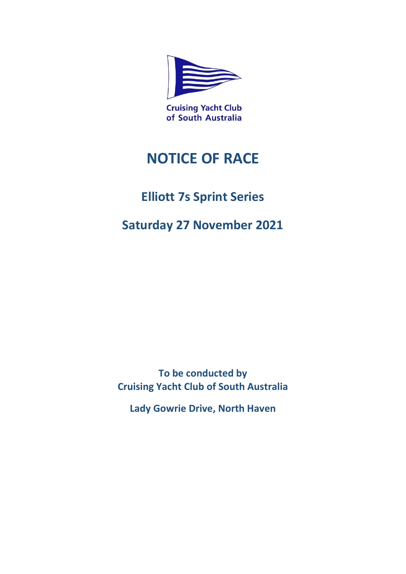

of South Australia

# **NOTICE OF RACE**

# **Elliott 7s Sprint Series**

# **Saturday 27 November 2021**

**To be conducted by Cruising Yacht Club of South Australia**

**Lady Gowrie Drive, North Haven**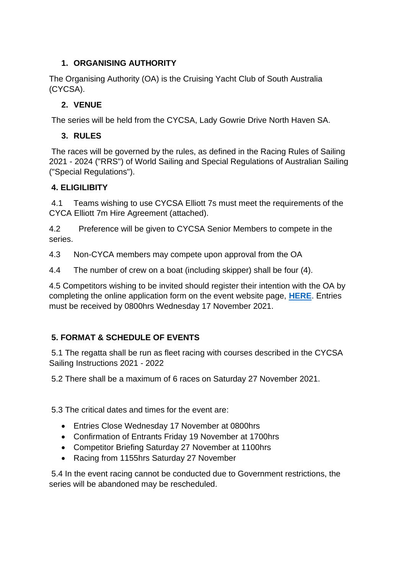# **1. ORGANISING AUTHORITY**

The Organising Authority (OA) is the Cruising Yacht Club of South Australia (CYCSA).

# **2. VENUE**

The series will be held from the CYCSA, Lady Gowrie Drive North Haven SA.

# **3. RULES**

The races will be governed by the rules, as defined in the Racing Rules of Sailing 2021 - 2024 ("RRS") of World Sailing and Special Regulations of Australian Sailing ("Special Regulations").

# **4. ELIGILIBITY**

4.1 Teams wishing to use CYCSA Elliott 7s must meet the requirements of the CYCA Elliott 7m Hire Agreement (attached).

4.2 Preference will be given to CYCSA Senior Members to compete in the series.

4.3 Non-CYCA members may compete upon approval from the OA

4.4 The number of crew on a boat (including skipper) shall be four (4).

4.5 Competitors wishing to be invited should register their intention with the OA by completing the online application form on the event website page, **[HERE](https://cycsa.com.au/elliott-7s-sprint-series/)**. Entries must be received by 0800hrs Wednesday 17 November 2021.

# **5. FORMAT & SCHEDULE OF EVENTS**

5.1 The regatta shall be run as fleet racing with courses described in the CYCSA Sailing Instructions 2021 - 2022

5.2 There shall be a maximum of 6 races on Saturday 27 November 2021.

5.3 The critical dates and times for the event are:

- Entries Close Wednesday 17 November at 0800hrs
- Confirmation of Entrants Friday 19 November at 1700hrs
- Competitor Briefing Saturday 27 November at 1100hrs
- Racing from 1155hrs Saturday 27 November

5.4 In the event racing cannot be conducted due to Government restrictions, the series will be abandoned may be rescheduled.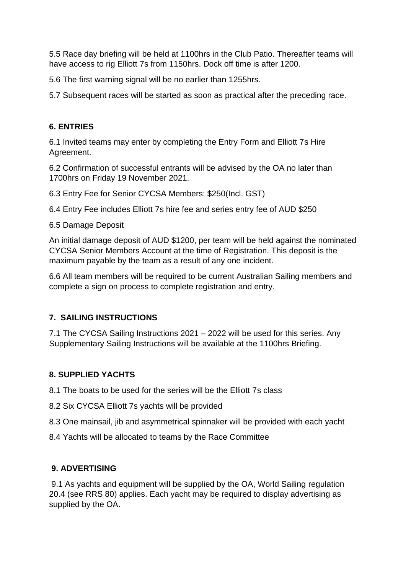5.5 Race day briefing will be held at 1100hrs in the Club Patio. Thereafter teams will have access to rig Elliott 7s from 1150hrs. Dock off time is after 1200.

5.6 The first warning signal will be no earlier than 1255hrs.

5.7 Subsequent races will be started as soon as practical after the preceding race.

# **6. ENTRIES**

6.1 Invited teams may enter by completing the Entry Form and Elliott 7s Hire Agreement.

6.2 Confirmation of successful entrants will be advised by the OA no later than 1700hrs on Friday 19 November 2021.

6.3 Entry Fee for Senior CYCSA Members: \$250(Incl. GST)

6.4 Entry Fee includes Elliott 7s hire fee and series entry fee of AUD \$250

6.5 Damage Deposit

An initial damage deposit of AUD \$1200, per team will be held against the nominated CYCSA Senior Members Account at the time of Registration. This deposit is the maximum payable by the team as a result of any one incident.

6.6 All team members will be required to be current Australian Sailing members and complete a sign on process to complete registration and entry.

#### **7. SAILING INSTRUCTIONS**

7.1 The CYCSA Sailing Instructions 2021 – 2022 will be used for this series. Any Supplementary Sailing Instructions will be available at the 1100hrs Briefing.

# **8. SUPPLIED YACHTS**

8.1 The boats to be used for the series will be the Elliott 7s class

8.2 Six CYCSA Elliott 7s yachts will be provided

8.3 One mainsail, jib and asymmetrical spinnaker will be provided with each yacht

8.4 Yachts will be allocated to teams by the Race Committee

#### **9. ADVERTISING**

9.1 As yachts and equipment will be supplied by the OA, World Sailing regulation 20.4 (see RRS 80) applies. Each yacht may be required to display advertising as supplied by the OA.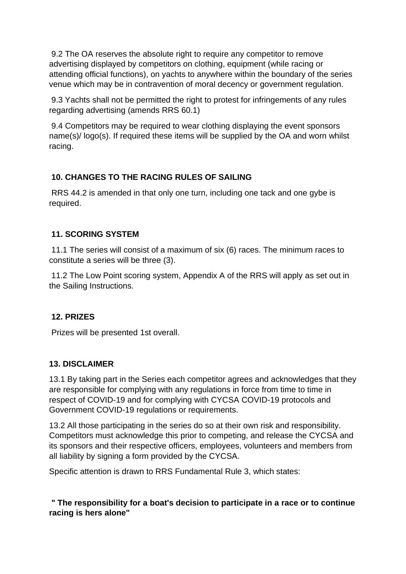9.2 The OA reserves the absolute right to require any competitor to remove advertising displayed by competitors on clothing, equipment (while racing or attending official functions), on yachts to anywhere within the boundary of the series venue which may be in contravention of moral decency or government regulation.

9.3 Yachts shall not be permitted the right to protest for infringements of any rules regarding advertising (amends RRS 60.1)

9.4 Competitors may be required to wear clothing displaying the event sponsors name(s)/ logo(s). If required these items will be supplied by the OA and worn whilst racing.

# **10. CHANGES TO THE RACING RULES OF SAILING**

RRS 44.2 is amended in that only one turn, including one tack and one gybe is required.

# **11. SCORING SYSTEM**

11.1 The series will consist of a maximum of six (6) races. The minimum races to constitute a series will be three (3).

11.2 The Low Point scoring system, Appendix A of the RRS will apply as set out in the Sailing Instructions.

# **12. PRIZES**

Prizes will be presented 1st overall.

# **13. DISCLAIMER**

13.1 By taking part in the Series each competitor agrees and acknowledges that they are responsible for complying with any regulations in force from time to time in respect of COVID-19 and for complying with CYCSA COVID-19 protocols and Government COVID-19 regulations or requirements.

13.2 All those participating in the series do so at their own risk and responsibility. Competitors must acknowledge this prior to competing, and release the CYCSA and its sponsors and their respective officers, employees, volunteers and members from all liability by signing a form provided by the CYCSA.

Specific attention is drawn to RRS Fundamental Rule 3, which states:

**" The responsibility for a boat's decision to participate in a race or to continue racing is hers alone"**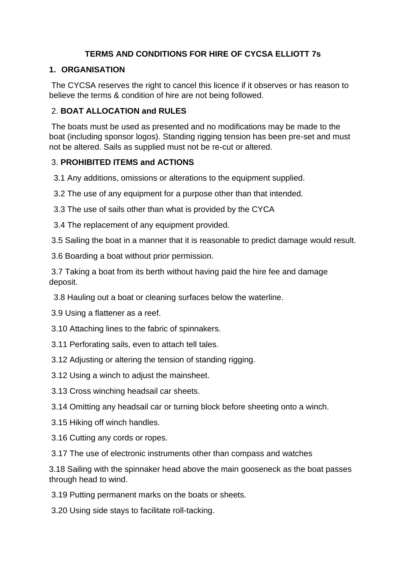# **TERMS AND CONDITIONS FOR HIRE OF CYCSA ELLIOTT 7s**

#### **1. ORGANISATION**

The CYCSA reserves the right to cancel this licence if it observes or has reason to believe the terms & condition of hire are not being followed.

#### 2. **BOAT ALLOCATION and RULES**

The boats must be used as presented and no modifications may be made to the boat (including sponsor logos). Standing rigging tension has been pre-set and must not be altered. Sails as supplied must not be re-cut or altered.

# 3. **PROHIBITED ITEMS and ACTIONS**

3.1 Any additions, omissions or alterations to the equipment supplied.

3.2 The use of any equipment for a purpose other than that intended.

3.3 The use of sails other than what is provided by the CYCA

3.4 The replacement of any equipment provided.

3.5 Sailing the boat in a manner that it is reasonable to predict damage would result.

3.6 Boarding a boat without prior permission.

3.7 Taking a boat from its berth without having paid the hire fee and damage deposit.

3.8 Hauling out a boat or cleaning surfaces below the waterline.

3.9 Using a flattener as a reef.

3.10 Attaching lines to the fabric of spinnakers.

- 3.11 Perforating sails, even to attach tell tales.
- 3.12 Adjusting or altering the tension of standing rigging.
- 3.12 Using a winch to adjust the mainsheet.
- 3.13 Cross winching headsail car sheets.
- 3.14 Omitting any headsail car or turning block before sheeting onto a winch.
- 3.15 Hiking off winch handles.
- 3.16 Cutting any cords or ropes.
- 3.17 The use of electronic instruments other than compass and watches

3.18 Sailing with the spinnaker head above the main gooseneck as the boat passes through head to wind.

3.19 Putting permanent marks on the boats or sheets.

3.20 Using side stays to facilitate roll-tacking.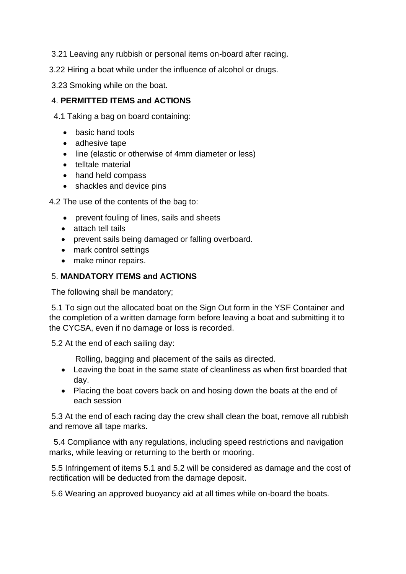- 3.21 Leaving any rubbish or personal items on-board after racing.
- 3.22 Hiring a boat while under the influence of alcohol or drugs.
- 3.23 Smoking while on the boat.

#### 4. **PERMITTED ITEMS and ACTIONS**

- 4.1 Taking a bag on board containing:
	- basic hand tools
	- adhesive tape
	- line (elastic or otherwise of 4mm diameter or less)
	- telltale material
	- hand held compass
	- shackles and device pins

4.2 The use of the contents of the bag to:

- prevent fouling of lines, sails and sheets
- attach tell tails
- prevent sails being damaged or falling overboard.
- mark control settings
- make minor repairs.

# 5. **MANDATORY ITEMS and ACTIONS**

The following shall be mandatory;

5.1 To sign out the allocated boat on the Sign Out form in the YSF Container and the completion of a written damage form before leaving a boat and submitting it to the CYCSA, even if no damage or loss is recorded.

5.2 At the end of each sailing day:

Rolling, bagging and placement of the sails as directed.

- Leaving the boat in the same state of cleanliness as when first boarded that day.
- Placing the boat covers back on and hosing down the boats at the end of each session

5.3 At the end of each racing day the crew shall clean the boat, remove all rubbish and remove all tape marks.

 5.4 Compliance with any regulations, including speed restrictions and navigation marks, while leaving or returning to the berth or mooring.

5.5 Infringement of items 5.1 and 5.2 will be considered as damage and the cost of rectification will be deducted from the damage deposit.

5.6 Wearing an approved buoyancy aid at all times while on-board the boats.